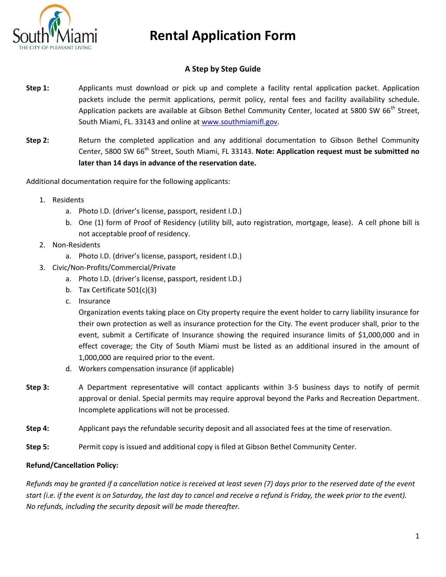

### **A Step by Step Guide**

- **Step 1:** Applicants must download or pick up and complete a facility rental application packet. Application packets include the permit applications, permit policy, rental fees and facility availability schedule. Application packets are available at Gibson Bethel Community Center, located at 5800 SW 66<sup>th</sup> Street, South Miami, FL. 33143 and online a[t www.southmiamifl.gov.](http://www.southmiamifl.gov/)
- **Step 2:** Return the completed application and any additional documentation to Gibson Bethel Community Center. 5800 SW 66<sup>th</sup> Street, South Miami, FL 33143. Note: Application request must be submitted no **later than 14 days in advance of the reservation date.**

Additional documentation require for the following applicants:

- 1. Residents
	- a. Photo I.D. (driver's license, passport, resident I.D.)
	- b. One (1) form of Proof of Residency (utility bill, auto registration, mortgage, lease). A cell phone bill is not acceptable proof of residency.
- 2. Non-Residents
	- a. Photo I.D. (driver's license, passport, resident I.D.)
- 3. Civic/Non-Profits/Commercial/Private
	- a. Photo I.D. (driver's license, passport, resident I.D.)
	- b. Tax Certificate 501(c)(3)
	- c. Insurance

Organization events taking place on City property require the event holder to carry liability insurance for their own protection as well as insurance protection for the City. The event producer shall, prior to the event, submit a Certificate of Insurance showing the required insurance limits of \$1,000,000 and in effect coverage; the City of South Miami must be listed as an additional insured in the amount of 1,000,000 are required prior to the event.

- d. Workers compensation insurance (if applicable)
- **Step 3:** A Department representative will contact applicants within 3-5 business days to notify of permit approval or denial. Special permits may require approval beyond the Parks and Recreation Department. Incomplete applications will not be processed.
- **Step 4:** Applicant pays the refundable security deposit and all associated fees at the time of reservation.
- **Step 5:** Permit copy is issued and additional copy is filed at Gibson Bethel Community Center.

### **Refund/Cancellation Policy:**

*Refunds may be granted if a cancellation notice is received at least seven (7) days prior to the reserved date of the event start (i.e. if the event is on Saturday, the last day to cancel and receive a refund is Friday, the week prior to the event). No refunds, including the security deposit will be made thereafter.*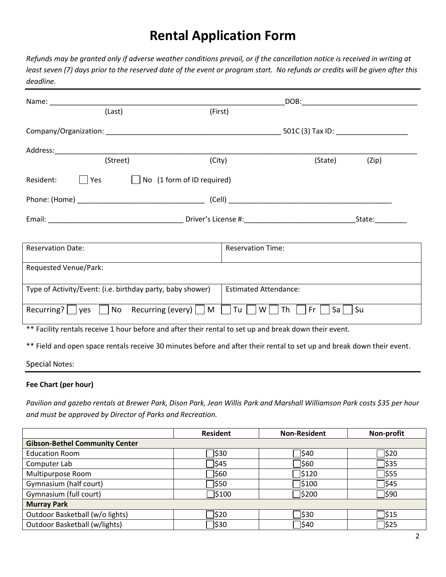*Refunds may be granted only if adverse weather conditions prevail, or if the cancellation notice is received in writing at least seven (7) days prior to the reserved date of the event or program start. No refunds or credits will be given after this deadline.*

| Name: and the state of the state of the state of the state of the state of the state of the state of the state of the state of the state of the state of the state of the state of the state of the state of the state of the  |                              | DOB: the contract of the contract of the contract of the contract of the contract of the contract of the contract of the contract of the contract of the contract of the contract of the contract of the contract of the contr |       |
|--------------------------------------------------------------------------------------------------------------------------------------------------------------------------------------------------------------------------------|------------------------------|--------------------------------------------------------------------------------------------------------------------------------------------------------------------------------------------------------------------------------|-------|
| (Last)                                                                                                                                                                                                                         | (First)                      |                                                                                                                                                                                                                                |       |
|                                                                                                                                                                                                                                |                              |                                                                                                                                                                                                                                |       |
| Address: Analysis and the contract of the contract of the contract of the contract of the contract of the contract of the contract of the contract of the contract of the contract of the contract of the contract of the cont |                              |                                                                                                                                                                                                                                |       |
| (Street)                                                                                                                                                                                                                       | (City)                       | (State)                                                                                                                                                                                                                        | (Zip) |
| $ $   Yes $ $<br>$\Box$ No (1 form of ID required)<br>Resident:                                                                                                                                                                |                              |                                                                                                                                                                                                                                |       |
|                                                                                                                                                                                                                                |                              |                                                                                                                                                                                                                                |       |
|                                                                                                                                                                                                                                |                              |                                                                                                                                                                                                                                |       |
|                                                                                                                                                                                                                                |                              |                                                                                                                                                                                                                                |       |
| <b>Reservation Date:</b>                                                                                                                                                                                                       | <b>Reservation Time:</b>     |                                                                                                                                                                                                                                |       |
| Requested Venue/Park:                                                                                                                                                                                                          |                              |                                                                                                                                                                                                                                |       |
| Type of Activity/Event: (i.e. birthday party, baby shower)                                                                                                                                                                     | <b>Estimated Attendance:</b> |                                                                                                                                                                                                                                |       |
| Recurring? $\bigcup$ yes $\bigcup$ No Recurring (every) $\bigcup$ M $\bigcup$ Tu $\bigcup$ W $\bigcup$ Th $\bigcup$                                                                                                            |                              | Fr<br>$Sa$   $Su$                                                                                                                                                                                                              |       |
| ** Facility rentals receive 1 hour before and after their rental to set up and break down their event.                                                                                                                         |                              |                                                                                                                                                                                                                                |       |
| ** Field and open space rentals receive 30 minutes before and after their rental to set up and break down their event.                                                                                                         |                              |                                                                                                                                                                                                                                |       |

Special Notes:

### **Fee Chart (per hour)**

*Pavilion and gazebo rentals at Brewer Park, Dison Park, Jean Willis Park and Marshall Williamson Park costs \$35 per hour and must be approved by Director of Parks and Recreation.*

|                                       | <b>Resident</b> | <b>Non-Resident</b> | Non-profit |
|---------------------------------------|-----------------|---------------------|------------|
| <b>Gibson-Bethel Community Center</b> |                 |                     |            |
| <b>Education Room</b>                 | ס330            | ่ ไ\$40             | <b>S20</b> |
| Computer Lab                          | 345             | ס\$∏                | 335        |
| Multipurpose Room                     | 360             | ∃\$120              | ל\$∃       |
| Gymnasium (half court)                | 7\$50           | ]\$100              | <b>S45</b> |
| Gymnasium (full court)                | 1\$100          | ]\$200              | ס\$ך       |
| <b>Murray Park</b>                    |                 |                     |            |
| Outdoor Basketball (w/o lights)       | 320             | ס330                | <b>515</b> |
| Outdoor Basketball (w/lights)         | ס330            | ∃\$40               | ∃\$25      |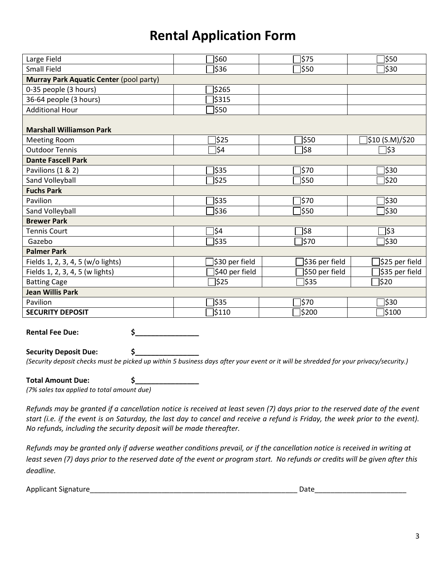| Large Field                             | \$60           | \$75           | 350]               |
|-----------------------------------------|----------------|----------------|--------------------|
| <b>Small Field</b>                      | \$36           | 350]           | ]\$30              |
| Murray Park Aquatic Center (pool party) |                |                |                    |
| 0-35 people (3 hours)                   | \$265          |                |                    |
| 36-64 people (3 hours)                  | \$315          |                |                    |
| <b>Additional Hour</b>                  | ]\$50          |                |                    |
| <b>Marshall Williamson Park</b>         |                |                |                    |
| <b>Meeting Room</b>                     | \$25           | 350            | ]\$10 (S.M)/\$20   |
| <b>Outdoor Tennis</b>                   |                | ]\$8           |                    |
|                                         | ]\$4           |                | ]\$3               |
| <b>Dante Fascell Park</b>               |                |                |                    |
| Pavilions (1 & 2)                       | \$35           | ]\$70          | 330]               |
| Sand Volleyball                         | \$25           | 350]           | ]\$20              |
| <b>Fuchs Park</b>                       |                |                |                    |
| Pavilion                                | <b>\$35</b>    | 1\$70          | ]\$30              |
| Sand Volleyball                         | \$36           | ]\$50          | ]\$30              |
| <b>Brewer Park</b>                      |                |                |                    |
| <b>Tennis Court</b>                     | ]\$4           | ]\$8           | ]\$3               |
| Gazebo                                  | \$35           | <b>570</b>     | 330]               |
| <b>Palmer Park</b>                      |                |                |                    |
| Fields 1, 2, 3, 4, 5 (w/o lights)       | \$30 per field | 336 per field] | \$25 per field     |
| Fields 1, 2, 3, 4, 5 (w lights)         | \$40 per field | \$50 per field | \$35 per field     |
| <b>Batting Cage</b>                     | \$25           | 35]            | $\frac{1}{2}$ \$20 |
| <b>Jean Willis Park</b>                 |                |                |                    |
| Pavilion                                | \$35           | ]\$70          | 330]               |
| <b>SECURITY DEPOSIT</b>                 | \$110          | \$200          | \$100              |

**Rental Fee Due: \$\_\_\_\_\_\_\_\_\_\_\_\_\_\_\_\_**

**Security Deposit Due: \$\_\_\_\_\_\_\_\_\_\_\_\_\_\_\_\_**

*(Security deposit checks must be picked up within 5 business days after your event or it will be shredded for your privacy/security.)*

| <b>Total Amount Due:</b>                   |  |
|--------------------------------------------|--|
| (7% sales tax applied to total amount due) |  |

*Refunds may be granted if a cancellation notice is received at least seven (7) days prior to the reserved date of the event start (i.e. if the event is on Saturday, the last day to cancel and receive a refund is Friday, the week prior to the event). No refunds, including the security deposit will be made thereafter.* 

*Refunds may be granted only if adverse weather conditions prevail, or if the cancellation notice is received in writing at least seven (7) days prior to the reserved date of the event or program start. No refunds or credits will be given after this deadline.*

Applicant Signature\_\_\_\_\_\_\_\_\_\_\_\_\_\_\_\_\_\_\_\_\_\_\_\_\_\_\_\_\_\_\_\_\_\_\_\_\_\_\_\_\_\_\_\_\_\_\_\_\_\_\_\_ Date\_\_\_\_\_\_\_\_\_\_\_\_\_\_\_\_\_\_\_\_\_\_\_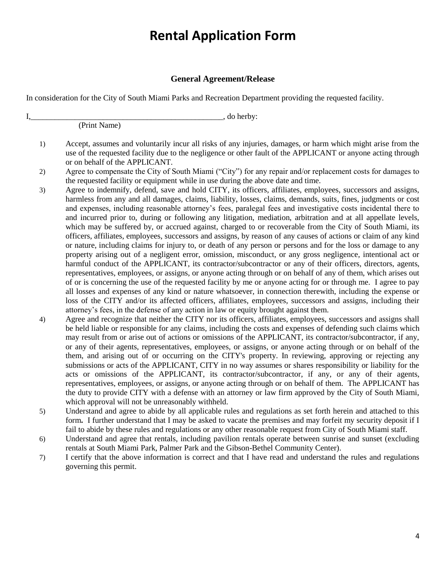### **General Agreement/Release**

In consideration for the City of South Miami Parks and Recreation Department providing the requested facility.

I, do herby: (Print Name)

- 1) Accept, assumes and voluntarily incur all risks of any injuries, damages, or harm which might arise from the use of the requested facility due to the negligence or other fault of the APPLICANT or anyone acting through or on behalf of the APPLICANT.
- 2) Agree to compensate the City of South Miami ("City") for any repair and/or replacement costs for damages to the requested facility or equipment while in use during the above date and time.
- 3) Agree to indemnify, defend, save and hold CITY, its officers, affiliates, employees, successors and assigns, harmless from any and all damages, claims, liability, losses, claims, demands, suits, fines, judgments or cost and expenses, including reasonable attorney's fees, paralegal fees and investigative costs incidental there to and incurred prior to, during or following any litigation, mediation, arbitration and at all appellate levels, which may be suffered by, or accrued against, charged to or recoverable from the City of South Miami, its officers, affiliates, employees, successors and assigns, by reason of any causes of actions or claim of any kind or nature, including claims for injury to, or death of any person or persons and for the loss or damage to any property arising out of a negligent error, omission, misconduct, or any gross negligence, intentional act or harmful conduct of the APPLICANT, its contractor/subcontractor or any of their officers, directors, agents, representatives, employees, or assigns, or anyone acting through or on behalf of any of them, which arises out of or is concerning the use of the requested facility by me or anyone acting for or through me. I agree to pay all losses and expenses of any kind or nature whatsoever, in connection therewith, including the expense or loss of the CITY and/or its affected officers, affiliates, employees, successors and assigns, including their attorney's fees, in the defense of any action in law or equity brought against them.
- 4) Agree and recognize that neither the CITY nor its officers, affiliates, employees, successors and assigns shall be held liable or responsible for any claims, including the costs and expenses of defending such claims which may result from or arise out of actions or omissions of the APPLICANT, its contractor/subcontractor, if any, or any of their agents, representatives, employees, or assigns, or anyone acting through or on behalf of the them, and arising out of or occurring on the CITY's property. In reviewing, approving or rejecting any submissions or acts of the APPLICANT, CITY in no way assumes or shares responsibility or liability for the acts or omissions of the APPLICANT, its contractor/subcontractor, if any, or any of their agents, representatives, employees, or assigns, or anyone acting through or on behalf of them. The APPLICANT has the duty to provide CITY with a defense with an attorney or law firm approved by the City of South Miami, which approval will not be unreasonably withheld.
- 5) Understand and agree to abide by all applicable rules and regulations as set forth herein and attached to this form**.** I further understand that I may be asked to vacate the premises and may forfeit my security deposit if I fail to abide by these rules and regulations or any other reasonable request from City of South Miami staff.
- 6) Understand and agree that rentals, including pavilion rentals operate between sunrise and sunset (excluding rentals at South Miami Park, Palmer Park and the Gibson-Bethel Community Center).
- 7) I certify that the above information is correct and that I have read and understand the rules and regulations governing this permit.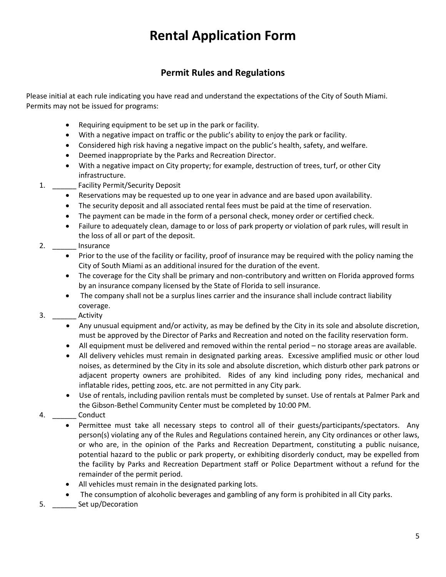### **Permit Rules and Regulations**

Please initial at each rule indicating you have read and understand the expectations of the City of South Miami. Permits may not be issued for programs:

- Requiring equipment to be set up in the park or facility.
- With a negative impact on traffic or the public's ability to enjoy the park or facility.
- Considered high risk having a negative impact on the public's health, safety, and welfare.
- Deemed inappropriate by the Parks and Recreation Director.
- With a negative impact on City property; for example, destruction of trees, turf, or other City infrastructure.
- 1. **Example Facility Permit/Security Deposit** 
	- Reservations may be requested up to one year in advance and are based upon availability.
	- The security deposit and all associated rental fees must be paid at the time of reservation.
	- The payment can be made in the form of a personal check, money order or certified check.
	- Failure to adequately clean, damage to or loss of park property or violation of park rules, will result in the loss of all or part of the deposit.
- 2. \_\_\_\_\_\_ Insurance
	- Prior to the use of the facility or facility, proof of insurance may be required with the policy naming the City of South Miami as an additional insured for the duration of the event.
	- The coverage for the City shall be primary and non-contributory and written on Florida approved forms by an insurance company licensed by the State of Florida to sell insurance.
	- The company shall not be a surplus lines carrier and the insurance shall include contract liability coverage.
- 3. \_\_\_\_\_\_ Activity
	- Any unusual equipment and/or activity, as may be defined by the City in its sole and absolute discretion, must be approved by the Director of Parks and Recreation and noted on the facility reservation form.
	- All equipment must be delivered and removed within the rental period no storage areas are available.
	- All delivery vehicles must remain in designated parking areas. Excessive amplified music or other loud noises, as determined by the City in its sole and absolute discretion, which disturb other park patrons or adjacent property owners are prohibited. Rides of any kind including pony rides, mechanical and inflatable rides, petting zoos, etc. are not permitted in any City park.
	- Use of rentals, including pavilion rentals must be completed by sunset. Use of rentals at Palmer Park and the Gibson-Bethel Community Center must be completed by 10:00 PM.
- 4. \_\_\_\_\_\_\_\_ Conduct
	- Permittee must take all necessary steps to control all of their guests/participants/spectators. Any person(s) violating any of the Rules and Regulations contained herein, any City ordinances or other laws, or who are, in the opinion of the Parks and Recreation Department, constituting a public nuisance, potential hazard to the public or park property, or exhibiting disorderly conduct, may be expelled from the facility by Parks and Recreation Department staff or Police Department without a refund for the remainder of the permit period.
	- All vehicles must remain in the designated parking lots.
	- The consumption of alcoholic beverages and gambling of any form is prohibited in all City parks.
- 5. \_\_\_\_\_\_ Set up/Decoration